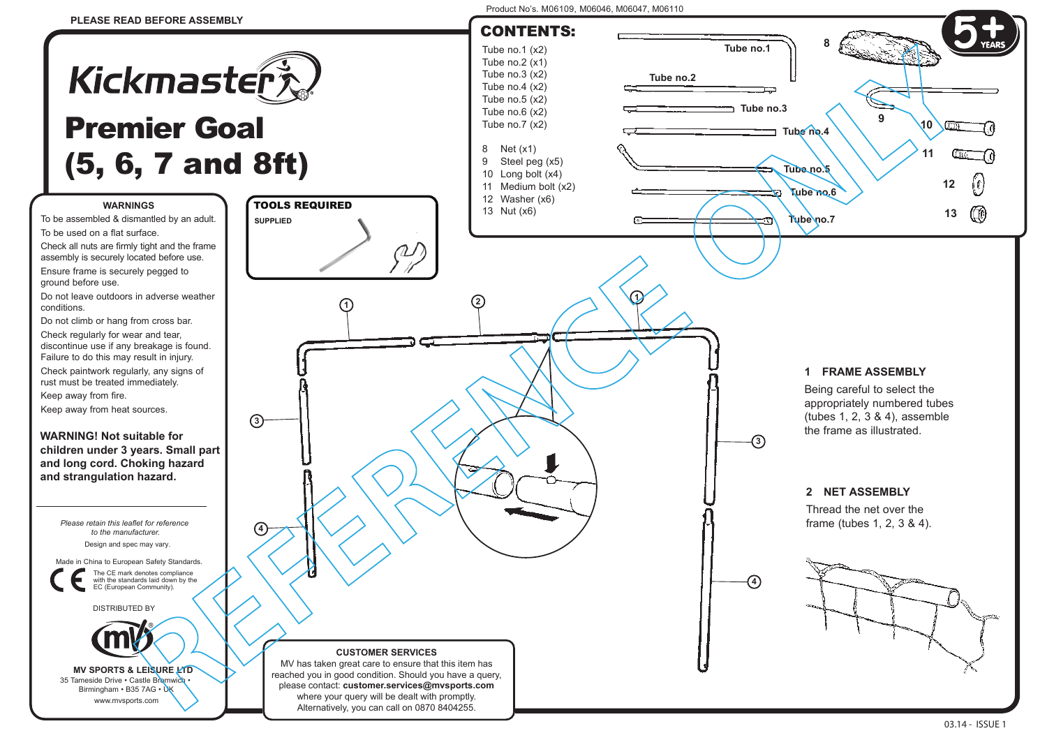